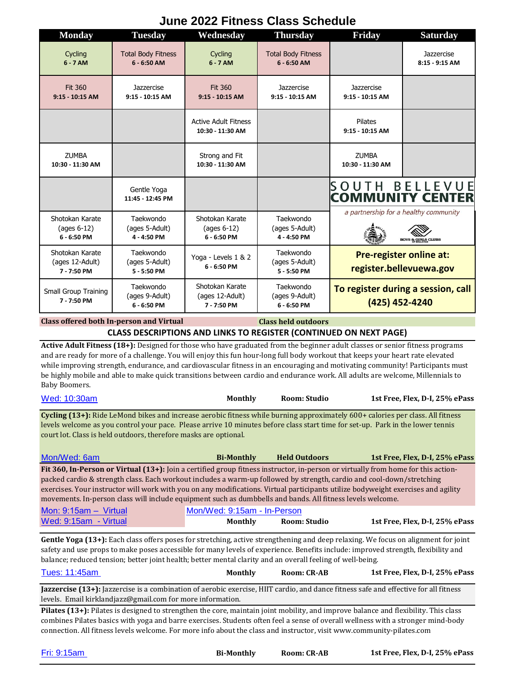## **Monday Tuesday Wednesday Thursday Friday Saturday** Total Body Fitness Total Body Fitness Cycling Cycling **Jazzercise 6 - 7 AM 6 - 6:50 AM 6 - 7 AM 6 - 6:50 AM 8:15 - 9:15 AM Jazzercise Jazzercise Jazzercise** Fit 360 Fit 360 **9:15 - 10:15 AM 9:15 - 10:15 AM 9:15 - 10:15 AM 9:15 - 10:15 AM 9:15 - 10:15 AM** Active Adult Fitness Pilates **10:30 - 11:30 AM 9:15 - 10:15 AM ZLIMBA** Strong and Fit ZUMBA **10:30 - 11:30 AM 10:30 - 11:30 AM 10:30 - 11:30 AM SOUTH BELLEVUE** Gentle Yoga **COMMUNITY CENTER 11:45 - 12:45 PM** a partnership for a healthy community Shotokan Karate **Taekwondo** Shotokan Karate Taekwondo (ages 6-12) (ages 5-Adult) (ages 6-12) (ages 5-Adult) **6 - 6:50 PM 4 - 4:50 PM 6 - 6:50 PM 4 - 4:50 PM** Shotokan Karate Taekwondo Taekwondo **Pre-register online at:**  Yoga - Levels 1 & 2 (ages 12-Adult) (ages 5-Adult) (ages 5-Adult) **6 - 6:50 PM register.bellevuewa.gov 7 - 7:50 PM 5 - 5:50 PM 5 - 5:50 PM** Shotokan Karate Taekwondo Taekwondo **To register during a session, call**  Small Group Training (ages 9-Adult) (ages 12-Adult) (ages 9-Adult) **7 - 7:50 PM (425) 452-4240 6 - 6:50 PM 7 - 7:50 PM 6 - 6:50 PM**

## **June 2022 Fitness Class Schedule**

**Class held outdoors CLASS DESCRIPTIONS AND LINKS TO REGISTER (CONTINUED ON NEXT PAGE) Class offered both In-person and Virtual**

**Active Adult Fitness (18+):** Designed for those who have graduated from the beginner adult classes or senior fitness programs and are ready for more of a challenge. You will enjoy this fun hour-long full body workout that keeps your heart rate elevated while improving strength, endurance, and cardiovascular fitness in an encouraging and motivating community! Participants must be highly mobile and able to make quick transitions between cardio and endurance work. All adults are welcome, Millennials to Baby Boomers.

| Wed: 10:30am | <b>Monthly</b> | Room: Studio | 1st Free, Flex, D-I, 25% ePass |
|--------------|----------------|--------------|--------------------------------|
|--------------|----------------|--------------|--------------------------------|

**Cycling (13+):** Ride LeMond bikes and increase aerobic fitness while burning approximately 600+ calories per class. All fitness levels welcome as you control your pace. Please arrive 10 minutes before class start time for set-up. Park in the lower tennis court lot. Class is held outdoors, therefore masks are optional.

| Mon/Wed: 6am                                                                                                                         | <b>Bi-Monthly</b> | <b>Held Outdoors</b> | 1st Free, Flex, D-I, 25% ePass |
|--------------------------------------------------------------------------------------------------------------------------------------|-------------------|----------------------|--------------------------------|
| Fit 360, In-Person or Virtual $(13+)$ : Join a certified group fitness instructor, in-person or virtually from home for this action- |                   |                      |                                |
| packed cardio & strength class. Each workout includes a warm-up followed by strength, cardio and cool-down/stretching                |                   |                      |                                |
| exercises. Your instructor will work with you on any modifications. Virtual participants utilize bodyweight exercises and agility    |                   |                      |                                |
| movements. In-person class will include equipment such as dumbbells and bands. All fitness levels welcome.                           |                   |                      |                                |
|                                                                                                                                      |                   |                      |                                |

| Mon: $9:15am - Virtual$ | Mon/Wed: 9:15am - In-Person |                     |                                |
|-------------------------|-----------------------------|---------------------|--------------------------------|
| Wed: 9:15am - Virtual   | <b>Monthly</b>              | <b>Room: Studio</b> | 1st Free, Flex, D-I, 25% ePass |

Gentle Yoga (13+): Each class offers poses for stretching, active strengthening and deep relaxing. We focus on alignment for joint safety and use props to make poses accessible for many levels of experience. Benefits include: improved strength, flexibility and balance; reduced tension; better joint health; better mental clarity and an overall feeling of well-being.

| Tues: 11:45am | Monthly | Room: CR-AB | 1st Free, Flex, D-I, 25% ePass |
|---------------|---------|-------------|--------------------------------|
|---------------|---------|-------------|--------------------------------|

**Jazzercise (13+):** Jazzercise is a combination of aerobic exercise, HIIT cardio, and dance fitness safe and effective for all fitness levels. Email kirklandjazz@gmail.com for more information.

**Pilates (13+):** Pilates is designed to strengthen the core, maintain joint mobility, and improve balance and flexibility. This class combines Pilates basics with yoga and barre exercises. Students often feel a sense of overall wellness with a stronger mind-body connection. All fitness levels welcome. For more info about the class and instructor, visit www.community-pilates.com